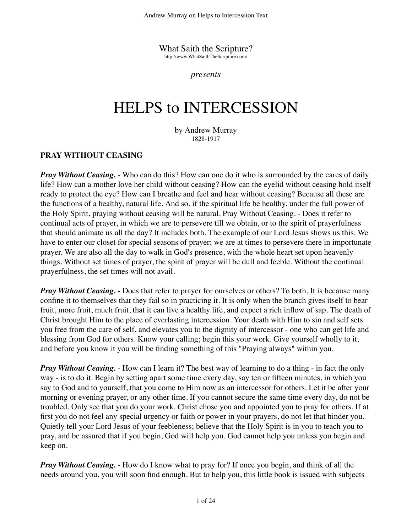What Saith the Scripture? http://www.WhatSaithTheScripture.com/

*presents*

# HELPS to INTERCESSION

by Andrew Murray 1828-1917

## **PRAY WITHOUT CEASING**

*Pray Without Ceasing.* - Who can do this? How can one do it who is surrounded by the cares of daily life? How can a mother love her child without ceasing? How can the eyelid without ceasing hold itself ready to protect the eye? How can I breathe and feel and hear without ceasing? Because all these are the functions of a healthy, natural life. And so, if the spiritual life be healthy, under the full power of the Holy Spirit, praying without ceasing will be natural. Pray Without Ceasing. - Does it refer to continual acts of prayer, in which we are to persevere till we obtain, or to the spirit of prayerfulness that should animate us all the day? It includes both. The example of our Lord Jesus shows us this. We have to enter our closet for special seasons of prayer; we are at times to persevere there in importunate prayer. We are also all the day to walk in God's presence, with the whole heart set upon heavenly things. Without set times of prayer, the spirit of prayer will be dull and feeble. Without the continual prayerfulness, the set times will not avail.

*Pray Without Ceasing. -* Does that refer to prayer for ourselves or others? To both. It is because many confine it to themselves that they fail so in practicing it. It is only when the branch gives itself to bear fruit, more fruit, much fruit, that it can live a healthy life, and expect a rich inflow of sap. The death of Christ brought Him to the place of everlasting intercession. Your death with Him to sin and self sets you free from the care of self, and elevates you to the dignity of intercessor - one who can get life and blessing from God for others. Know your calling; begin this your work. Give yourself wholly to it, and before you know it you will be finding something of this "Praying always" within you.

*Pray Without Ceasing.* - How can I learn it? The best way of learning to do a thing - in fact the only way - is to do it. Begin by setting apart some time every day, say ten or fifteen minutes, in which you say to God and to yourself, that you come to Him now as an intercessor for others. Let it be after your morning or evening prayer, or any other time. If you cannot secure the same time every day, do not be troubled. Only see that you do your work. Christ chose you and appointed you to pray for others. If at first you do not feel any special urgency or faith or power in your prayers, do not let that hinder you. Quietly tell your Lord Jesus of your feebleness; believe that the Holy Spirit is in you to teach you to pray, and be assured that if you begin, God will help you. God cannot help you unless you begin and keep on.

*Pray Without Ceasing.* - How do I know what to pray for? If once you begin, and think of all the needs around you, you will soon find enough. But to help you, this little book is issued with subjects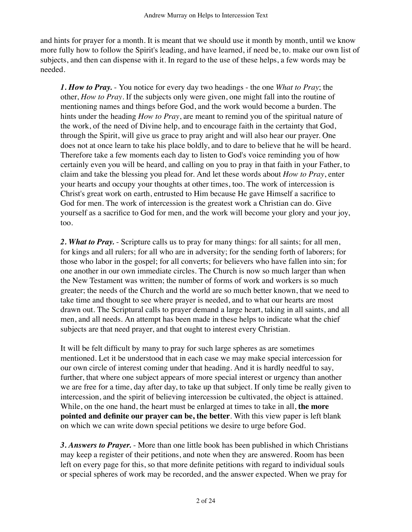and hints for prayer for a month. It is meant that we should use it month by month, until we know more fully how to follow the Spirit's leading, and have learned, if need be, to. make our own list of subjects, and then can dispense with it. In regard to the use of these helps, a few words may be needed.

*1. How to Pray.* - You notice for every day two headings - the one *What to Pray*; the other, *How to Pray*. If the subjects only were given, one might fall into the routine of mentioning names and things before God, and the work would become a burden. The hints under the heading *How to Pray*, are meant to remind you of the spiritual nature of the work, of the need of Divine help, and to encourage faith in the certainty that God, through the Spirit, will give us grace to pray aright and will also hear our prayer. One does not at once learn to take his place boldly, and to dare to believe that he will be heard. Therefore take a few moments each day to listen to God's voice reminding you of how certainly even you will be heard, and calling on you to pray in that faith in your Father, to claim and take the blessing you plead for. And let these words about *How to Pray*, enter your hearts and occupy your thoughts at other times, too. The work of intercession is Christ's great work on earth, entrusted to Him because He gave Himself a sacrifice to God for men. The work of intercession is the greatest work a Christian can do. Give yourself as a sacrifice to God for men, and the work will become your glory and your joy, too.

2. What to Pray. - Scripture calls us to pray for many things: for all saints; for all men, for kings and all rulers; for all who are in adversity; for the sending forth of laborers; for those who labor in the gospel; for all converts; for believers who have fallen into sin; for one another in our own immediate circles. The Church is now so much larger than when the New Testament was written; the number of forms of work and workers is so much greater; the needs of the Church and the world are so much better known, that we need to take time and thought to see where prayer is needed, and to what our hearts are most drawn out. The Scriptural calls to prayer demand a large heart, taking in all saints, and all men, and all needs. An attempt has been made in these helps to indicate what the chief subjects are that need prayer, and that ought to interest every Christian.

It will be felt difficult by many to pray for such large spheres as are sometimes mentioned. Let it be understood that in each case we may make special intercession for our own circle of interest coming under that heading. And it is hardly needful to say, further, that where one subject appears of more special interest or urgency than another we are free for a time, day after day, to take up that subject. If only time be really given to intercession, and the spirit of believing intercession be cultivated, the object is attained. While, on the one hand, the heart must be enlarged at times to take in all, **the more pointed and definite our prayer can be, the better**. With this view paper is left blank on which we can write down special petitions we desire to urge before God.

*3. Answers to Prayer.* - More than one little book has been published in which Christians may keep a register of their petitions, and note when they are answered. Room has been left on every page for this, so that more definite petitions with regard to individual souls or special spheres of work may be recorded, and the answer expected. When we pray for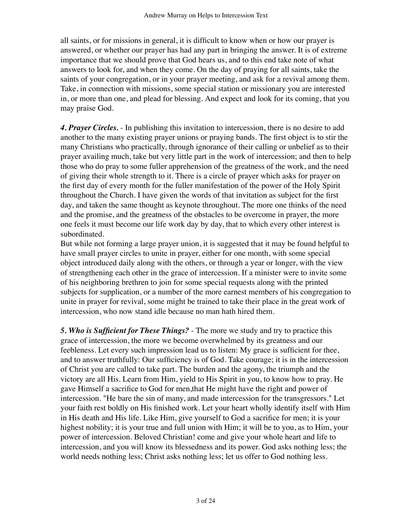all saints, or for missions in general, it is difficult to know when or how our prayer is answered, or whether our prayer has had any part in bringing the answer. It is of extreme importance that we should prove that God hears us, and to this end take note of what answers to look for, and when they come. On the day of praying for all saints, take the saints of your congregation, or in your prayer meeting, and ask for a revival among them. Take, in connection with missions, some special station or missionary you are interested in, or more than one, and plead for blessing. And expect and look for its coming, that you may praise God.

*4. Prayer Circles.* - In publishing this invitation to intercession, there is no desire to add another to the many existing prayer unions or praying bands. The first object is to stir the many Christians who practically, through ignorance of their calling or unbelief as to their prayer availing much, take but very little part in the work of intercession; and then to help those who do pray to some fuller apprehension of the greatness of the work, and the need of giving their whole strength to it. There is a circle of prayer which asks for prayer on the first day of every month for the fuller manifestation of the power of the Holy Spirit throughout the Church. I have given the words of that invitation as subject for the first day, and taken the same thought as keynote throughout. The more one thinks of the need and the promise, and the greatness of the obstacles to be overcome in prayer, the more one feels it must become our life work day by day, that to which every other interest is subordinated.

But while not forming a large prayer union, it is suggested that it may be found helpful to have small prayer circles to unite in prayer, either for one month, with some special object introduced daily along with the others, or through a year or longer, with the view of strengthening each other in the grace of intercession. If a minister were to invite some of his neighboring brethren to join for some special requests along with the printed subjects for supplication, or a number of the more earnest members of his congregation to unite in prayer for revival, some might be trained to take their place in the great work of intercession, who now stand idle because no man hath hired them.

*5. Who is Sufficient for These Things?* - The more we study and try to practice this grace of intercession, the more we become overwhelmed by its greatness and our feebleness. Let every such impression lead us to listen: My grace is sufficient for thee, and to answer truthfully: Our sufficiency is of God. Take courage; it is in the intercession of Christ you are called to take part. The burden and the agony, the triumph and the victory are all His. Learn from Him, yield to His Spirit in you, to know how to pray. He gave Himself a sacrifice to God for men,that He might have the right and power of intercession. "He bare the sin of many, and made intercession for the transgressors." Let your faith rest boldly on His finished work. Let your heart wholly identify itself with Him in His death and His life. Like Him, give yourself to God a sacrifice for men; it is your highest nobility; it is your true and full union with Him; it will be to you, as to Him, your power of intercession. Beloved Christian! come and give your whole heart and life to intercession, and you will know its blessedness and its power. God asks nothing less; the world needs nothing less; Christ asks nothing less; let us offer to God nothing less.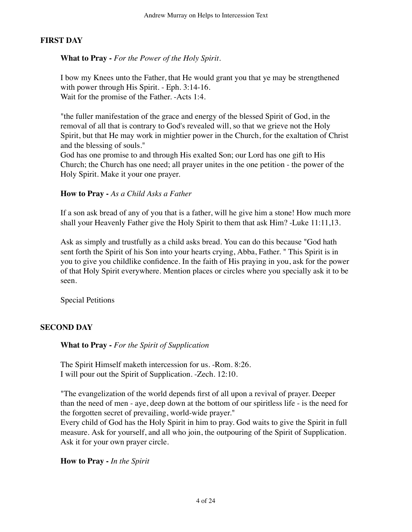## **FIRST DAY**

**What to Pray -** *For the Power of the Holy Spirit.*

I bow my Knees unto the Father, that He would grant you that ye may be strengthened with power through His Spirit. - Eph. 3:14-16. Wait for the promise of the Father. -Acts 1:4.

"the fuller manifestation of the grace and energy of the blessed Spirit of God, in the removal of all that is contrary to God's revealed will, so that we grieve not the Holy Spirit, but that He may work in mightier power in the Church, for the exaltation of Christ and the blessing of souls."

God has one promise to and through His exalted Son; our Lord has one gift to His Church; the Church has one need; all prayer unites in the one petition - the power of the Holy Spirit. Make it your one prayer.

#### **How to Pray -** *As a Child Asks a Father*

If a son ask bread of any of you that is a father, will he give him a stone! How much more shall your Heavenly Father give the Holy Spirit to them that ask Him? -Luke 11:11,13.

Ask as simply and trustfully as a child asks bread. You can do this because "God hath sent forth the Spirit of his Son into your hearts crying, Abba, Father. " This Spirit is in you to give you childlike confidence. In the faith of His praying in you, ask for the power of that Holy Spirit everywhere. Mention places or circles where you specially ask it to be seen.

Special Petitions

## **SECOND DAY**

**What to Pray -** *For the Spirit of Supplication*

The Spirit Himself maketh intercession for us. -Rom. 8:26. I will pour out the Spirit of Supplication. -Zech. 12:10.

"The evangelization of the world depends first of all upon a revival of prayer. Deeper than the need of men - aye, deep down at the bottom of our spiritless life - is the need for the forgotten secret of prevailing, world-wide prayer."

Every child of God has the Holy Spirit in him to pray. God waits to give the Spirit in full measure. Ask for yourself, and all who join, the outpouring of the Spirit of Supplication. Ask it for your own prayer circle.

**How to Pray -** *In the Spirit*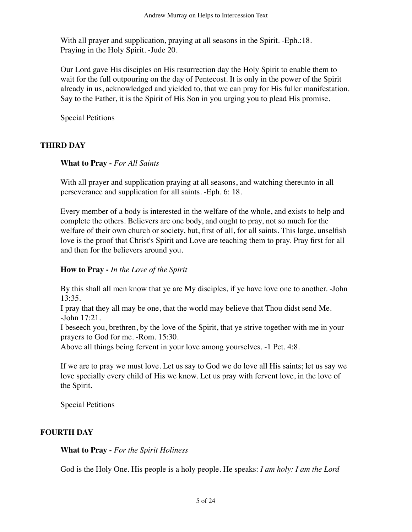With all prayer and supplication, praying at all seasons in the Spirit. -Eph.:18. Praying in the Holy Spirit. -Jude 20.

Our Lord gave His disciples on His resurrection day the Holy Spirit to enable them to wait for the full outpouring on the day of Pentecost. It is only in the power of the Spirit already in us, acknowledged and yielded to, that we can pray for His fuller manifestation. Say to the Father, it is the Spirit of His Son in you urging you to plead His promise.

Special Petitions

## **THIRD DAY**

#### **What to Pray -** *For All Saints*

With all prayer and supplication praying at all seasons, and watching thereunto in all perseverance and supplication for all saints. -Eph. 6: 18.

Every member of a body is interested in the welfare of the whole, and exists to help and complete the others. Believers are one body, and ought to pray, not so much for the welfare of their own church or society, but, first of all, for all saints. This large, unselfish love is the proof that Christ's Spirit and Love are teaching them to pray. Pray first for all and then for the believers around you.

## **How to Pray -** *In the Love of the Spirit*

By this shall all men know that ye are My disciples, if ye have love one to another. -John 13:35.

I pray that they all may be one, that the world may believe that Thou didst send Me. -John 17:21.

I beseech you, brethren, by the love of the Spirit, that ye strive together with me in your prayers to God for me. -Rom. 15:30.

Above all things being fervent in your love among yourselves. -1 Pet. 4:8.

If we are to pray we must love. Let us say to God we do love all His saints; let us say we love specially every child of His we know. Let us pray with fervent love, in the love of the Spirit.

Special Petitions

## **FOURTH DAY**

#### **What to Pray -** *For the Spirit Holiness*

God is the Holy One. His people is a holy people. He speaks: *I am holy: I am the Lord*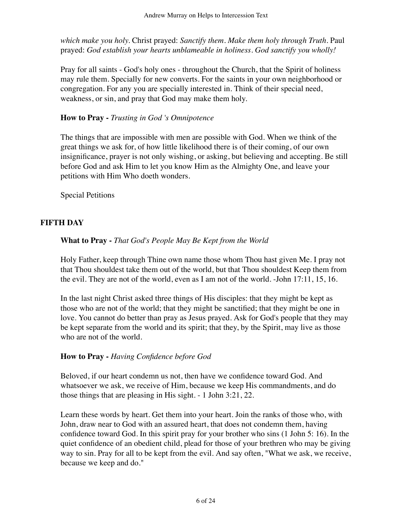*which make you holy.* Christ prayed: *Sanctify them. Make them holy through Truth.* Paul prayed: *God establish your hearts unblameable in holiness. God sanctify you wholly!*

Pray for all saints - God's holy ones - throughout the Church, that the Spirit of holiness may rule them. Specially for new converts. For the saints in your own neighborhood or congregation. For any you are specially interested in. Think of their special need, weakness, or sin, and pray that God may make them holy.

#### **How to Pray -** *Trusting in God 's Omnipotence*

The things that are impossible with men are possible with God. When we think of the great things we ask for, of how little likelihood there is of their coming, of our own insignificance, prayer is not only wishing, or asking, but believing and accepting. Be still before God and ask Him to let you know Him as the Almighty One, and leave your petitions with Him Who doeth wonders.

Special Petitions

#### **FIFTH DAY**

#### **What to Pray -** *That God's People May Be Kept from the World*

Holy Father, keep through Thine own name those whom Thou hast given Me. I pray not that Thou shouldest take them out of the world, but that Thou shouldest Keep them from the evil. They are not of the world, even as I am not of the world. -John 17:11, 15, 16.

In the last night Christ asked three things of His disciples: that they might be kept as those who are not of the world; that they might be sanctified; that they might be one in love. You cannot do better than pray as Jesus prayed. Ask for God's people that they may be kept separate from the world and its spirit; that they, by the Spirit, may live as those who are not of the world.

#### **How to Pray -** *Having Confidence before God*

Beloved, if our heart condemn us not, then have we confidence toward God. And whatsoever we ask, we receive of Him, because we keep His commandments, and do those things that are pleasing in His sight. - 1 John 3:21, 22.

Learn these words by heart. Get them into your heart. Join the ranks of those who, with John, draw near to God with an assured heart, that does not condemn them, having confidence toward God. In this spirit pray for your brother who sins (1 John 5: 16). In the quiet confidence of an obedient child, plead for those of your brethren who may be giving way to sin. Pray for all to be kept from the evil. And say often, "What we ask, we receive, because we keep and do."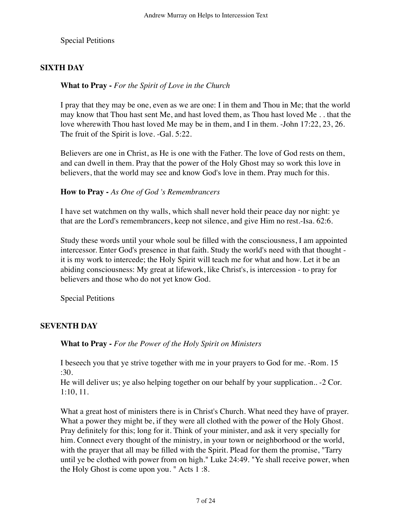Special Petitions

# **SIXTH DAY**

## **What to Pray -** *For the Spirit of Love in the Church*

I pray that they may be one, even as we are one: I in them and Thou in Me; that the world may know that Thou hast sent Me, and hast loved them, as Thou hast loved Me . . that the love wherewith Thou hast loved Me may be in them, and I in them. -John 17:22, 23, 26. The fruit of the Spirit is love. -Gal. 5:22.

Believers are one in Christ, as He is one with the Father. The love of God rests on them, and can dwell in them. Pray that the power of the Holy Ghost may so work this love in believers, that the world may see and know God's love in them. Pray much for this.

## **How to Pray -** *As One of God 's Remembrancers*

I have set watchmen on thy walls, which shall never hold their peace day nor night: ye that are the Lord's remembrancers, keep not silence, and give Him no rest.-Isa. 62:6.

Study these words until your whole soul be filled with the consciousness, I am appointed intercessor. Enter God's presence in that faith. Study the world's need with that thought it is my work to intercede; the Holy Spirit will teach me for what and how. Let it be an abiding consciousness: My great at lifework, like Christ's, is intercession - to pray for believers and those who do not yet know God.

Special Petitions

# **SEVENTH DAY**

**What to Pray -** *For the Power of the Holy Spirit on Ministers*

I beseech you that ye strive together with me in your prayers to God for me. -Rom. 15 :30.

He will deliver us; ye also helping together on our behalf by your supplication.. -2 Cor. 1:10, 11.

What a great host of ministers there is in Christ's Church. What need they have of prayer. What a power they might be, if they were all clothed with the power of the Holy Ghost. Pray definitely for this; long for it. Think of your minister, and ask it very specially for him. Connect every thought of the ministry, in your town or neighborhood or the world, with the prayer that all may be filled with the Spirit. Plead for them the promise, "Tarry until ye be clothed with power from on high." Luke 24:49. "Ye shall receive power, when the Holy Ghost is come upon you. " Acts 1 :8.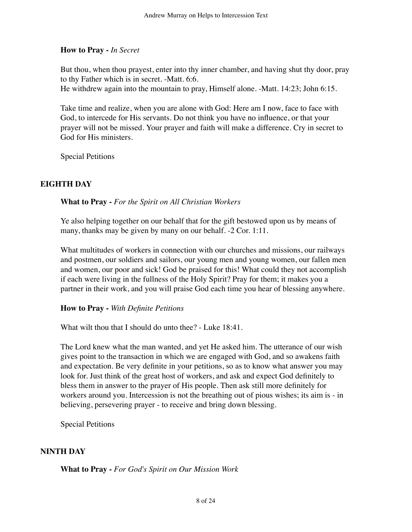## **How to Pray -** *In Secret*

But thou, when thou prayest, enter into thy inner chamber, and having shut thy door, pray to thy Father which is in secret. -Matt. 6:6.

He withdrew again into the mountain to pray, Himself alone. -Matt. 14:23; John 6:15.

Take time and realize, when you are alone with God: Here am I now, face to face with God, to intercede for His servants. Do not think you have no influence, or that your prayer will not be missed. Your prayer and faith will make a difference. Cry in secret to God for His ministers.

Special Petitions

## **EIGHTH DAY**

**What to Pray -** *For the Spirit on All Christian Workers*

Ye also helping together on our behalf that for the gift bestowed upon us by means of many, thanks may be given by many on our behalf. -2 Cor. 1:11.

What multitudes of workers in connection with our churches and missions, our railways and postmen, our soldiers and sailors, our young men and young women, our fallen men and women, our poor and sick! God be praised for this! What could they not accomplish if each were living in the fullness of the Holy Spirit? Pray for them; it makes you a partner in their work, and you will praise God each time you hear of blessing anywhere.

## **How to Pray -** *With Definite Petitions*

What wilt thou that I should do unto thee? - Luke 18:41.

The Lord knew what the man wanted, and yet He asked him. The utterance of our wish gives point to the transaction in which we are engaged with God, and so awakens faith and expectation. Be very definite in your petitions, so as to know what answer you may look for. Just think of the great host of workers, and ask and expect God definitely to bless them in answer to the prayer of His people. Then ask still more definitely for workers around you. Intercession is not the breathing out of pious wishes; its aim is - in believing, persevering prayer - to receive and bring down blessing.

Special Petitions

## **NINTH DAY**

**What to Pray -** *For God's Spirit on Our Mission Work*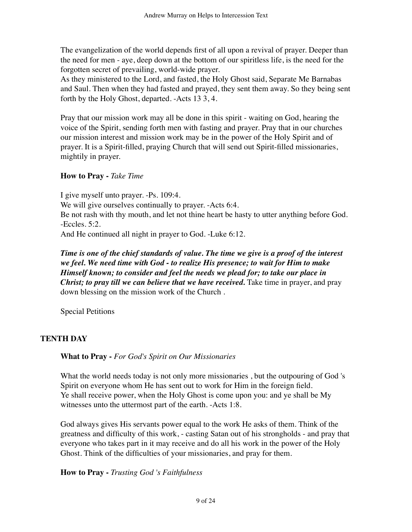The evangelization of the world depends first of all upon a revival of prayer. Deeper than the need for men - aye, deep down at the bottom of our spiritless life, is the need for the forgotten secret of prevailing, world-wide prayer.

As they ministered to the Lord, and fasted, the Holy Ghost said, Separate Me Barnabas and Saul. Then when they had fasted and prayed, they sent them away. So they being sent forth by the Holy Ghost, departed. -Acts 13 3, 4.

Pray that our mission work may all be done in this spirit - waiting on God, hearing the voice of the Spirit, sending forth men with fasting and prayer. Pray that in our churches our mission interest and mission work may be in the power of the Holy Spirit and of prayer. It is a Spirit-filled, praying Church that will send out Spirit-filled missionaries, mightily in prayer.

## **How to Pray -** *Take Time*

I give myself unto prayer. -Ps. 109:4. We will give ourselves continually to prayer. -Acts 6:4. Be not rash with thy mouth, and let not thine heart be hasty to utter anything before God. -Eccles. 5:2. And He continued all night in prayer to God. -Luke 6:12.

*Time is one of the chief standards of value. The time we give is a proof of the interest we feel. We need time with God - to realize His presence; to wait for Him to make Himself known; to consider and feel the needs we plead for; to take our place in Christ; to pray till we can believe that we have received.* Take time in prayer, and pray down blessing on the mission work of the Church .

Special Petitions

# **TENTH DAY**

## **What to Pray -** *For God's Spirit on Our Missionaries*

What the world needs today is not only more missionaries , but the outpouring of God 's Spirit on everyone whom He has sent out to work for Him in the foreign field. Ye shall receive power, when the Holy Ghost is come upon you: and ye shall be My witnesses unto the uttermost part of the earth. -Acts 1:8.

God always gives His servants power equal to the work He asks of them. Think of the greatness and difficulty of this work, - casting Satan out of his strongholds - and pray that everyone who takes part in it may receive and do all his work in the power of the Holy Ghost. Think of the difficulties of your missionaries, and pray for them.

## **How to Pray -** *Trusting God 's Faithfulness*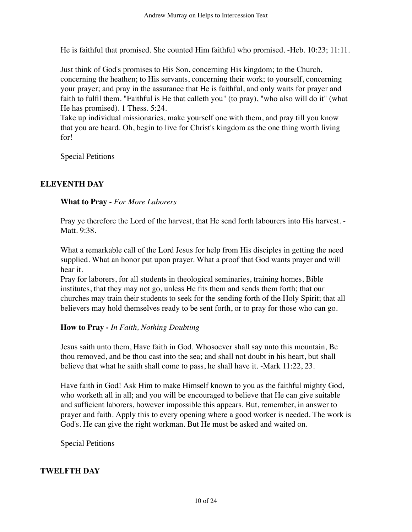He is faithful that promised. She counted Him faithful who promised. -Heb. 10:23; 11:11.

Just think of God's promises to His Son, concerning His kingdom; to the Church, concerning the heathen; to His servants, concerning their work; to yourself, concerning your prayer; and pray in the assurance that He is faithful, and only waits for prayer and faith to fulfil them. "Faithful is He that calleth you" (to pray), "who also will do it" (what He has promised). 1 Thess. 5:24.

Take up individual missionaries, make yourself one with them, and pray till you know that you are heard. Oh, begin to live for Christ's kingdom as the one thing worth living for!

Special Petitions

## **ELEVENTH DAY**

#### **What to Pray -** *For More Laborers*

Pray ye therefore the Lord of the harvest, that He send forth labourers into His harvest. - Matt. 9:38.

What a remarkable call of the Lord Jesus for help from His disciples in getting the need supplied. What an honor put upon prayer. What a proof that God wants prayer and will hear it.

Pray for laborers, for all students in theological seminaries, training homes, Bible institutes, that they may not go, unless He fits them and sends them forth; that our churches may train their students to seek for the sending forth of the Holy Spirit; that all believers may hold themselves ready to be sent forth, or to pray for those who can go.

## **How to Pray -** *In Faith, Nothing Doubting*

Jesus saith unto them, Have faith in God. Whosoever shall say unto this mountain, Be thou removed, and be thou cast into the sea; and shall not doubt in his heart, but shall believe that what he saith shall come to pass, he shall have it. -Mark 11:22, 23.

Have faith in God! Ask Him to make Himself known to you as the faithful mighty God, who worketh all in all; and you will be encouraged to believe that He can give suitable and sufficient laborers, however impossible this appears. But, remember, in answer to prayer and faith. Apply this to every opening where a good worker is needed. The work is God's. He can give the right workman. But He must be asked and waited on.

Special Petitions

## **TWELFTH DAY**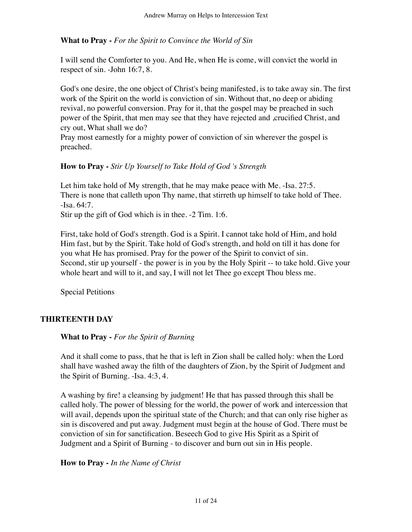**What to Pray -** *For the Spirit to Convince the World of Sin*

I will send the Comforter to you. And He, when He is come, will convict the world in respect of sin. -John 16:7, 8.

God's one desire, the one object of Christ's being manifested, is to take away sin. The first work of the Spirit on the world is conviction of sin. Without that, no deep or abiding revival, no powerful conversion. Pray for it, that the gospel may be preached in such power of the Spirit, that men may see that they have rejected and ,crucified Christ, and cry out, What shall we do?

Pray most earnestly for a mighty power of conviction of sin wherever the gospel is preached.

## **How to Pray -** *Stir Up Yourself to Take Hold of God 's Strength*

Let him take hold of My strength, that he may make peace with Me. -Isa. 27:5. There is none that calleth upon Thy name, that stirreth up himself to take hold of Thee. -Isa. 64:7.

Stir up the gift of God which is in thee. -2 Tim. 1:6.

First, take hold of God's strength. God is a Spirit. I cannot take hold of Him, and hold Him fast, but by the Spirit. Take hold of God's strength, and hold on till it has done for you what He has promised. Pray for the power of the Spirit to convict of sin. Second, stir up yourself - the power is in you by the Holy Spirit -- to take hold. Give your whole heart and will to it, and say, I will not let Thee go except Thou bless me.

Special Petitions

## **THIRTEENTH DAY**

**What to Pray -** *For the Spirit of Burning*

And it shall come to pass, that he that is left in Zion shall be called holy: when the Lord shall have washed away the filth of the daughters of Zion, by the Spirit of Judgment and the Spirit of Burning. -Isa. 4:3, 4.

A washing by fire! a cleansing by judgment! He that has passed through this shall be called holy. The power of blessing for the world, the power of work and intercession that will avail, depends upon the spiritual state of the Church; and that can only rise higher as sin is discovered and put away. Judgment must begin at the house of God. There must be conviction of sin for sanctification. Beseech God to give His Spirit as a Spirit of Judgment and a Spirit of Burning - to discover and burn out sin in His people.

**How to Pray -** *In the Name of Christ*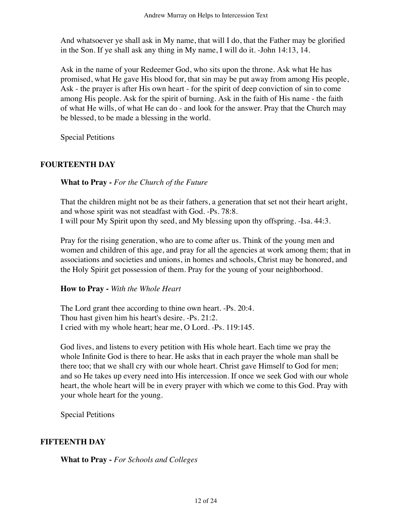And whatsoever ye shall ask in My name, that will I do, that the Father may be glorified in the Son. If ye shall ask any thing in My name, I will do it. -John 14:13, 14.

Ask in the name of your Redeemer God, who sits upon the throne. Ask what He has promised, what He gave His blood for, that sin may be put away from among His people, Ask - the prayer is after His own heart - for the spirit of deep conviction of sin to come among His people. Ask for the spirit of burning. Ask in the faith of His name - the faith of what He wills, of what He can do - and look for the answer. Pray that the Church may be blessed, to be made a blessing in the world.

Special Petitions

## **FOURTEENTH DAY**

**What to Pray -** *For the Church of the Future*

That the children might not be as their fathers, a generation that set not their heart aright, and whose spirit was not steadfast with God. -Ps. 78:8. I will pour My Spirit upon thy seed, and My blessing upon thy offspring. -Isa. 44:3.

Pray for the rising generation, who are to come after us. Think of the young men and women and children of this age, and pray for all the agencies at work among them; that in associations and societies and unions, in homes and schools, Christ may be honored, and the Holy Spirit get possession of them. Pray for the young of your neighborhood.

## **How to Pray -** *With the Whole Heart*

The Lord grant thee according to thine own heart. -Ps. 20:4. Thou hast given him his heart's desire. -Ps. 21:2. I cried with my whole heart; hear me, O Lord. -Ps. 119:145.

God lives, and listens to every petition with His whole heart. Each time we pray the whole Infinite God is there to hear. He asks that in each prayer the whole man shall be there too; that we shall cry with our whole heart. Christ gave Himself to God for men; and so He takes up every need into His intercession. If once we seek God with our whole heart, the whole heart will be in every prayer with which we come to this God. Pray with your whole heart for the young.

Special Petitions

## **FIFTEENTH DAY**

**What to Pray -** *For Schools and Colleges*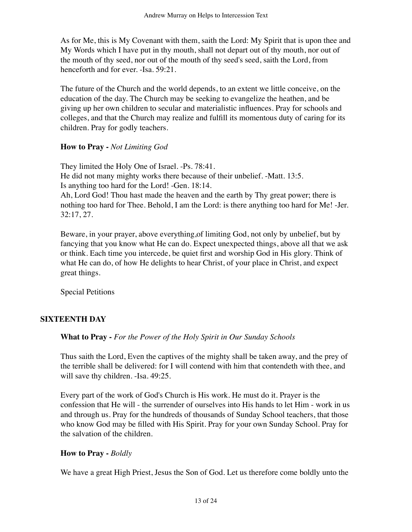As for Me, this is My Covenant with them, saith the Lord: My Spirit that is upon thee and My Words which I have put in thy mouth, shall not depart out of thy mouth, nor out of the mouth of thy seed, nor out of the mouth of thy seed's seed, saith the Lord, from henceforth and for ever. -Isa. 59:21.

The future of the Church and the world depends, to an extent we little conceive, on the education of the day. The Church may be seeking to evangelize the heathen, and be giving up her own children to secular and materialistic influences. Pray for schools and colleges, and that the Church may realize and fulfill its momentous duty of caring for its children. Pray for godly teachers.

#### **How to Pray -** *Not Limiting God*

They limited the Holy One of Israel. -Ps. 78:41. He did not many mighty works there because of their unbelief. -Matt. 13:5. Is anything too hard for the Lord! -Gen. 18:14. Ah, Lord God! Thou hast made the heaven and the earth by Thy great power; there is nothing too hard for Thee. Behold, I am the Lord: is there anything too hard for Me! -Jer. 32:17, 27.

Beware, in your prayer, above everything,of limiting God, not only by unbelief, but by fancying that you know what He can do. Expect unexpected things, above all that we ask or think. Each time you intercede, be quiet first and worship God in His glory. Think of what He can do, of how He delights to hear Christ, of your place in Christ, and expect great things.

Special Petitions

## **SIXTEENTH DAY**

## **What to Pray -** *For the Power of the Holy Spirit in Our Sunday Schools*

Thus saith the Lord, Even the captives of the mighty shall be taken away, and the prey of the terrible shall be delivered: for I will contend with him that contendeth with thee, and will save thy children. -Isa. 49:25.

Every part of the work of God's Church is His work. He must do it. Prayer is the confession that He will - the surrender of ourselves into His hands to let Him - work in us and through us. Pray for the hundreds of thousands of Sunday School teachers, that those who know God may be filled with His Spirit. Pray for your own Sunday School. Pray for the salvation of the children.

## **How to Pray -** *Boldly*

We have a great High Priest, Jesus the Son of God. Let us therefore come boldly unto the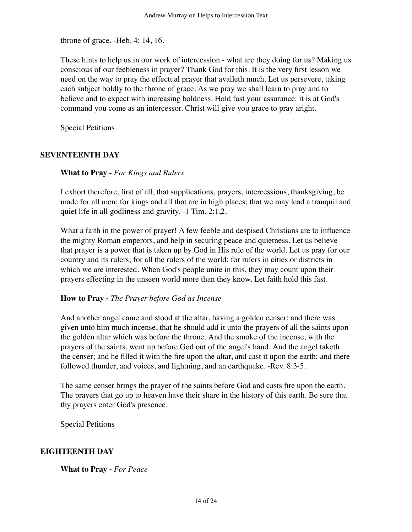throne of grace. -Heb. 4: 14, 16.

These hints to help us in our work of intercession - what are they doing for us? Making us conscious of our feebleness in prayer? Thank God for this. It is the very first lesson we need on the way to pray the effectual prayer that availeth much. Let us persevere, taking each subject boldly to the throne of grace. As we pray we shall learn to pray and to believe and to expect with increasing boldness. Hold fast your assurance: it is at God's command you come as an intercessor. Christ will give you grace to pray aright.

Special Petitions

## **SEVENTEENTH DAY**

**What to Pray -** *For Kings and Rulers*

I exhort therefore, first of all, that supplications, prayers, intercessions, thanksgiving, be made for all men; for kings and all that are in high places; that we may lead a tranquil and quiet life in all godliness and gravity. -1 Tim. 2:1,2.

What a faith in the power of prayer! A few feeble and despised Christians are to influence the mighty Roman emperors, and help in securing peace and quietness. Let us believe that prayer is a power that is taken up by God in His rule of the world. Let us pray for our country and its rulers; for all the rulers of the world; for rulers in cities or districts in which we are interested. When God's people unite in this, they may count upon their prayers effecting in the unseen world more than they know. Let faith hold this fast.

#### **How to Pray -** *The Prayer before God as Incense*

And another angel came and stood at the altar, having a golden censer; and there was given unto him much incense, that he should add it unto the prayers of all the saints upon the golden altar which was before the throne. And the smoke of the incense, with the prayers of the saints, went up before God out of the angel's hand. And the angel taketh the censer; and he filled it with the fire upon the altar, and cast it upon the earth: and there followed thunder, and voices, and lightning, and an earthquake. -Rev. 8:3-5.

The same censer brings the prayer of the saints before God and casts fire upon the earth. The prayers that go up to heaven have their share in the history of this earth. Be sure that thy prayers enter God's presence.

Special Petitions

#### **EIGHTEENTH DAY**

**What to Pray -** *For Peace*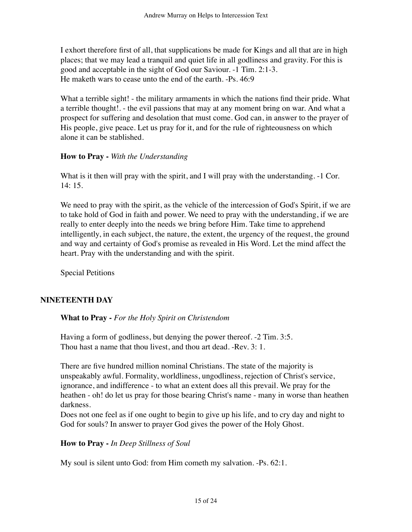I exhort therefore first of all, that supplications be made for Kings and all that are in high places; that we may lead a tranquil and quiet life in all godliness and gravity. For this is good and acceptable in the sight of God our Saviour. -1 Tim. 2:1-3. He maketh wars to cease unto the end of the earth. -Ps. 46:9

What a terrible sight! - the military armaments in which the nations find their pride. What a terrible thought!. - the evil passions that may at any moment bring on war. And what a prospect for suffering and desolation that must come. God can, in answer to the prayer of His people, give peace. Let us pray for it, and for the rule of righteousness on which alone it can be stablished.

#### **How to Pray -** *With the Understanding*

What is it then will pray with the spirit, and I will pray with the understanding.  $-1$  Cor. 14: 15.

We need to pray with the spirit, as the vehicle of the intercession of God's Spirit, if we are to take hold of God in faith and power. We need to pray with the understanding, if we are really to enter deeply into the needs we bring before Him. Take time to apprehend intelligently, in each subject, the nature, the extent, the urgency of the request, the ground and way and certainty of God's promise as revealed in His Word. Let the mind affect the heart. Pray with the understanding and with the spirit.

Special Petitions

## **NINETEENTH DAY**

#### **What to Pray -** *For the Holy Spirit on Christendom*

Having a form of godliness, but denying the power thereof. -2 Tim. 3:5. Thou hast a name that thou livest, and thou art dead. -Rev. 3: 1.

There are five hundred million nominal Christians. The state of the majority is unspeakably awful. Formality, worldliness, ungodliness, rejection of Christ's service, ignorance, and indifference - to what an extent does all this prevail. We pray for the heathen - oh! do let us pray for those bearing Christ's name - many in worse than heathen darkness.

Does not one feel as if one ought to begin to give up his life, and to cry day and night to God for souls? In answer to prayer God gives the power of the Holy Ghost.

#### **How to Pray -** *In Deep Stillness of Soul*

My soul is silent unto God: from Him cometh my salvation. -Ps. 62:1.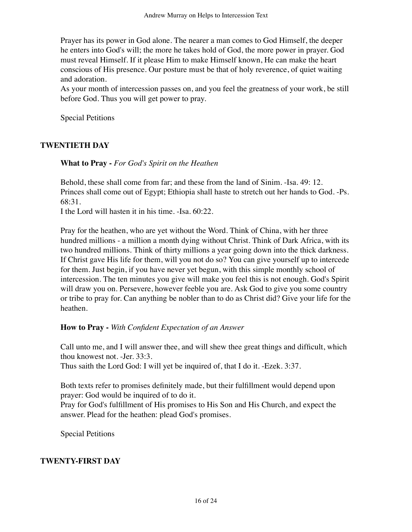Prayer has its power in God alone. The nearer a man comes to God Himself, the deeper he enters into God's will; the more he takes hold of God, the more power in prayer. God must reveal Himself. If it please Him to make Himself known, He can make the heart conscious of His presence. Our posture must be that of holy reverence, of quiet waiting and adoration.

As your month of intercession passes on, and you feel the greatness of your work, be still before God. Thus you will get power to pray.

Special Petitions

## **TWENTIETH DAY**

**What to Pray -** *For God's Spirit on the Heathen*

Behold, these shall come from far; and these from the land of Sinim. -Isa. 49: 12. Princes shall come out of Egypt; Ethiopia shall haste to stretch out her hands to God. -Ps. 68:31.

I the Lord will hasten it in his time. -Isa. 60:22.

Pray for the heathen, who are yet without the Word. Think of China, with her three hundred millions - a million a month dying without Christ. Think of Dark Africa, with its two hundred millions. Think of thirty millions a year going down into the thick darkness. If Christ gave His life for them, will you not do so? You can give yourself up to intercede for them. Just begin, if you have never yet begun, with this simple monthly school of intercession. The ten minutes you give will make you feel this is not enough. God's Spirit will draw you on. Persevere, however feeble you are. Ask God to give you some country or tribe to pray for. Can anything be nobler than to do as Christ did? Give your life for the heathen.

## **How to Pray -** *With Confident Expectation of an Answer*

Call unto me, and I will answer thee, and will shew thee great things and difficult, which thou knowest not. -Jer. 33:3.

Thus saith the Lord God: I will yet be inquired of, that I do it. -Ezek. 3:37.

Both texts refer to promises definitely made, but their fulfillment would depend upon prayer: God would be inquired of to do it.

Pray for God's fulfillment of His promises to His Son and His Church, and expect the answer. Plead for the heathen: plead God's promises.

Special Petitions

#### **TWENTY-FIRST DAY**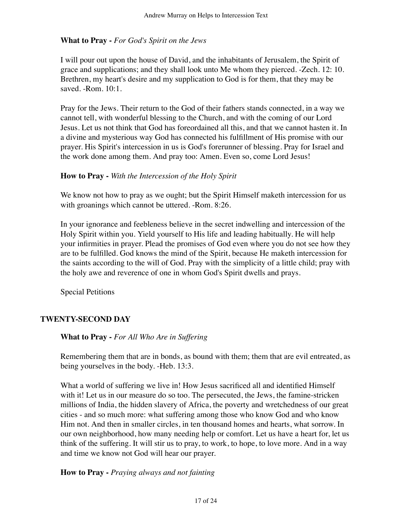## **What to Pray -** *For God's Spirit on the Jews*

I will pour out upon the house of David, and the inhabitants of Jerusalem, the Spirit of grace and supplications; and they shall look unto Me whom they pierced. -Zech. 12: 10. Brethren, my heart's desire and my supplication to God is for them, that they may be saved. -Rom. 10:1.

Pray for the Jews. Their return to the God of their fathers stands connected, in a way we cannot tell, with wonderful blessing to the Church, and with the coming of our Lord Jesus. Let us not think that God has foreordained all this, and that we cannot hasten it. In a divine and mysterious way God has connected his fulfillment of His promise with our prayer. His Spirit's intercession in us is God's forerunner of blessing. Pray for Israel and the work done among them. And pray too: Amen. Even so, come Lord Jesus!

#### **How to Pray -** *With the Intercession of the Holy Spirit*

We know not how to pray as we ought; but the Spirit Himself maketh intercession for us with groanings which cannot be uttered. -Rom. 8:26.

In your ignorance and feebleness believe in the secret indwelling and intercession of the Holy Spirit within you. Yield yourself to His life and leading habitually. He will help your infirmities in prayer. Plead the promises of God even where you do not see how they are to be fulfilled. God knows the mind of the Spirit, because He maketh intercession for the saints according to the will of God. Pray with the simplicity of a little child; pray with the holy awe and reverence of one in whom God's Spirit dwells and prays.

Special Petitions

## **TWENTY-SECOND DAY**

#### **What to Pray -** *For All Who Are in Suffering*

Remembering them that are in bonds, as bound with them; them that are evil entreated, as being yourselves in the body. -Heb. 13:3.

What a world of suffering we live in! How Jesus sacrificed all and identified Himself with it! Let us in our measure do so too. The persecuted, the Jews, the famine-stricken millions of India, the hidden slavery of Africa, the poverty and wretchedness of our great cities - and so much more: what suffering among those who know God and who know Him not. And then in smaller circles, in ten thousand homes and hearts, what sorrow. In our own neighborhood, how many needing help or comfort. Let us have a heart for, let us think of the suffering. It will stir us to pray, to work, to hope, to love more. And in a way and time we know not God will hear our prayer.

## **How to Pray -** *Praying always and not fainting*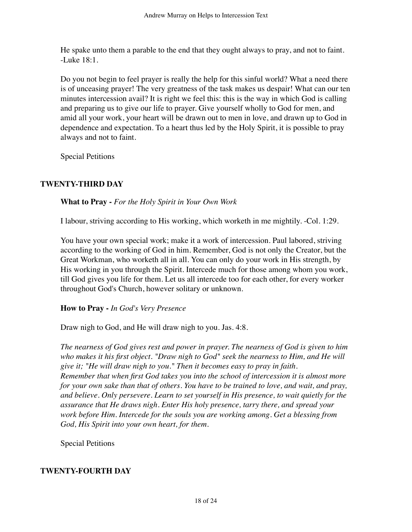He spake unto them a parable to the end that they ought always to pray, and not to faint. -Luke 18:1.

Do you not begin to feel prayer is really the help for this sinful world? What a need there is of unceasing prayer! The very greatness of the task makes us despair! What can our ten minutes intercession avail? It is right we feel this: this is the way in which God is calling and preparing us to give our life to prayer. Give yourself wholly to God for men, and amid all your work, your heart will be drawn out to men in love, and drawn up to God in dependence and expectation. To a heart thus led by the Holy Spirit, it is possible to pray always and not to faint.

Special Petitions

## **TWENTY-THIRD DAY**

**What to Pray -** *For the Holy Spirit in Your Own Work*

I labour, striving according to His working, which worketh in me mightily. -Col. 1:29.

You have your own special work; make it a work of intercession. Paul labored, striving according to the working of God in him. Remember, God is not only the Creator, but the Great Workman, who worketh all in all. You can only do your work in His strength, by His working in you through the Spirit. Intercede much for those among whom you work, till God gives you life for them. Let us all intercede too for each other, for every worker throughout God's Church, however solitary or unknown.

## **How to Pray -** *In God's Very Presence*

Draw nigh to God, and He will draw nigh to you. Jas. 4:8.

*The nearness of God gives rest and power in prayer. The nearness of God is given to him who makes it his first object. "Draw nigh to God" seek the nearness to Him, and He will give it; "He will draw nigh to you." Then it becomes easy to pray in faith. Remember that when first God takes you into the school of intercession it is almost more for your own sake than that of others. You have to be trained to love, and wait, and pray, and believe. Only persevere. Learn to set yourself in His presence, to wait quietly for the assurance that He draws nigh. Enter His holy presence, tarry there, and spread your work before Him. Intercede for the souls you are working among. Get a blessing from God, His Spirit into your own heart, for them.*

Special Petitions

## **TWENTY-FOURTH DAY**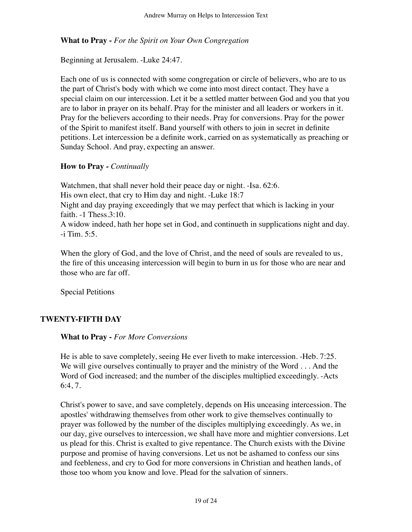**What to Pray -** *For the Spirit on Your Own Congregation*

Beginning at Jerusalem. -Luke 24:47.

Each one of us is connected with some congregation or circle of believers, who are to us the part of Christ's body with which we come into most direct contact. They have a special claim on our intercession. Let it be a settled matter between God and you that you are to labor in prayer on its behalf. Pray for the minister and all leaders or workers in it. Pray for the believers according to their needs. Pray for conversions. Pray for the power of the Spirit to manifest itself. Band yourself with others to join in secret in definite petitions. Let intercession be a definite work, carried on as systematically as preaching or Sunday School. And pray, expecting an answer.

## **How to Pray** *- Continually*

Watchmen, that shall never hold their peace day or night. -Isa. 62:6. His own elect, that cry to Him day and night. -Luke 18:7 Night and day praying exceedingly that we may perfect that which is lacking in your faith. -1 Thess.3:10. A widow indeed, hath her hope set in God, and continueth in supplications night and day. -i Tim. 5:5.

When the glory of God, and the love of Christ, and the need of souls are revealed to us, the fire of this unceasing intercession will begin to burn in us for those who are near and those who are far off.

Special Petitions

# **TWENTY-FIFTH DAY**

#### **What to Pray -** *For More Conversions*

He is able to save completely, seeing He ever liveth to make intercession. -Heb. 7:25. We will give ourselves continually to prayer and the ministry of the Word . . . And the Word of God increased; and the number of the disciples multiplied exceedingly. -Acts 6:4, 7.

Christ's power to save, and save completely, depends on His unceasing intercession. The apostles' withdrawing themselves from other work to give themselves continually to prayer was followed by the number of the disciples multiplying exceedingly. As we, in our day, give ourselves to intercession, we shall have more and mightier conversions. Let us plead for this. Christ is exalted to give repentance. The Church exists with the Divine purpose and promise of having conversions. Let us not be ashamed to confess our sins and feebleness, and cry to God for more conversions in Christian and heathen lands, of those too whom you know and love. Plead for the salvation of sinners.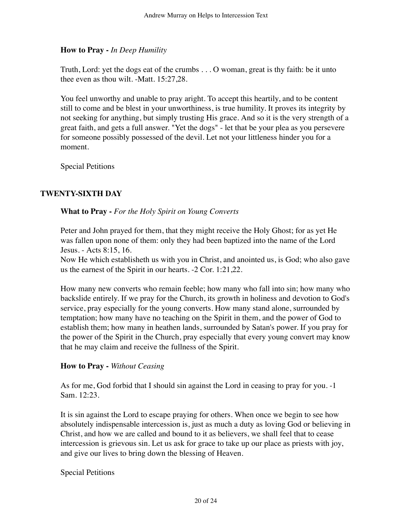## **How to Pray -** *In Deep Humility*

Truth, Lord: yet the dogs eat of the crumbs . . . O woman, great is thy faith: be it unto thee even as thou wilt. -Matt. 15:27,28.

You feel unworthy and unable to pray aright. To accept this heartily, and to be content still to come and be blest in your unworthiness, is true humility. It proves its integrity by not seeking for anything, but simply trusting His grace. And so it is the very strength of a great faith, and gets a full answer. "Yet the dogs" - let that be your plea as you persevere for someone possibly possessed of the devil. Let not your littleness hinder you for a moment.

Special Petitions

## **TWENTY-SIXTH DAY**

#### **What to Pray -** *For the Holy Spirit on Young Converts*

Peter and John prayed for them, that they might receive the Holy Ghost; for as yet He was fallen upon none of them: only they had been baptized into the name of the Lord Jesus. - Acts 8:15, 16.

Now He which establisheth us with you in Christ, and anointed us, is God; who also gave us the earnest of the Spirit in our hearts. -2 Cor. 1:21,22.

How many new converts who remain feeble; how many who fall into sin; how many who backslide entirely. If we pray for the Church, its growth in holiness and devotion to God's service, pray especially for the young converts. How many stand alone, surrounded by temptation; how many have no teaching on the Spirit in them, and the power of God to establish them; how many in heathen lands, surrounded by Satan's power. If you pray for the power of the Spirit in the Church, pray especially that every young convert may know that he may claim and receive the fullness of the Spirit.

## **How to Pray -** *Without Ceasing*

As for me, God forbid that I should sin against the Lord in ceasing to pray for you. -1 Sam. 12:23.

It is sin against the Lord to escape praying for others. When once we begin to see how absolutely indispensable intercession is, just as much a duty as loving God or believing in Christ, and how we are called and bound to it as believers, we shall feel that to cease intercession is grievous sin. Let us ask for grace to take up our place as priests with joy, and give our lives to bring down the blessing of Heaven.

Special Petitions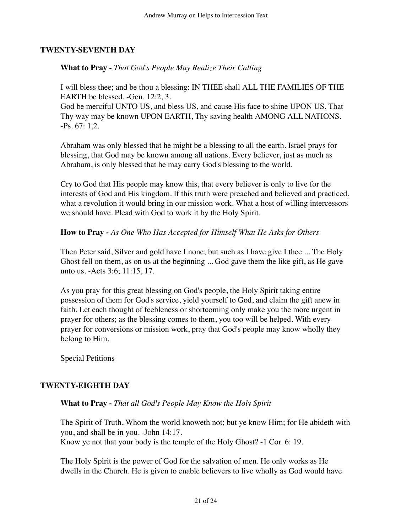#### **TWENTY-SEVENTH DAY**

**What to Pray -** *That God's People May Realize Their Calling*

I will bless thee; and be thou a blessing: IN THEE shall ALL THE FAMILIES OF THE EARTH be blessed. -Gen. 12:2, 3.

God be merciful UNTO US, and bless US, and cause His face to shine UPON US. That Thy way may be known UPON EARTH, Thy saving health AMONG ALL NATIONS. -Ps. 67: 1,2.

Abraham was only blessed that he might be a blessing to all the earth. Israel prays for blessing, that God may be known among all nations. Every believer, just as much as Abraham, is only blessed that he may carry God's blessing to the world.

Cry to God that His people may know this, that every believer is only to live for the interests of God and His kingdom. If this truth were preached and believed and practiced, what a revolution it would bring in our mission work. What a host of willing intercessors we should have. Plead with God to work it by the Holy Spirit.

#### **How to Pray -** *As One Who Has Accepted for Himself What He Asks for Others*

Then Peter said, Silver and gold have I none; but such as I have give I thee ... The Holy Ghost fell on them, as on us at the beginning ... God gave them the like gift, as He gave unto us. -Acts 3:6; 11:15, 17.

As you pray for this great blessing on God's people, the Holy Spirit taking entire possession of them for God's service, yield yourself to God, and claim the gift anew in faith. Let each thought of feebleness or shortcoming only make you the more urgent in prayer for others; as the blessing comes to them, you too will be helped. With every prayer for conversions or mission work, pray that God's people may know wholly they belong to Him.

Special Petitions

## **TWENTY-EIGHTH DAY**

#### **What to Pray -** *That all God's People May Know the Holy Spirit*

The Spirit of Truth, Whom the world knoweth not; but ye know Him; for He abideth with you, and shall be in you. -John 14:17. Know ye not that your body is the temple of the Holy Ghost? -1 Cor. 6: 19.

The Holy Spirit is the power of God for the salvation of men. He only works as He dwells in the Church. He is given to enable believers to live wholly as God would have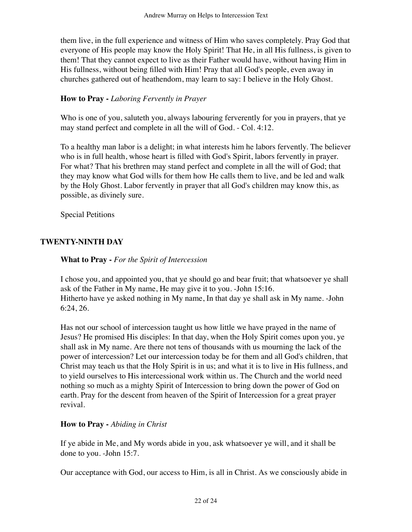them live, in the full experience and witness of Him who saves completely. Pray God that everyone of His people may know the Holy Spirit! That He, in all His fullness, is given to them! That they cannot expect to live as their Father would have, without having Him in His fullness, without being filled with Him! Pray that all God's people, even away in churches gathered out of heathendom, may learn to say: I believe in the Holy Ghost.

## **How to Pray -** *Laboring Fervently in Prayer*

Who is one of you, saluteth you, always labouring ferverently for you in prayers, that ye may stand perfect and complete in all the will of God. - Col. 4:12.

To a healthy man labor is a delight; in what interests him he labors fervently. The believer who is in full health, whose heart is filled with God's Spirit, labors fervently in prayer. For what? That his brethren may stand perfect and complete in all the will of God; that they may know what God wills for them how He calls them to live, and be led and walk by the Holy Ghost. Labor fervently in prayer that all God's children may know this, as possible, as divinely sure.

Special Petitions

## **TWENTY-NINTH DAY**

#### **What to Pray -** *For the Spirit of Intercession*

I chose you, and appointed you, that ye should go and bear fruit; that whatsoever ye shall ask of the Father in My name, He may give it to you. -John 15:16. Hitherto have ye asked nothing in My name, In that day ye shall ask in My name. -John 6:24, 26.

Has not our school of intercession taught us how little we have prayed in the name of Jesus? He promised His disciples: In that day, when the Holy Spirit comes upon you, ye shall ask in My name. Are there not tens of thousands with us mourning the lack of the power of intercession? Let our intercession today be for them and all God's children, that Christ may teach us that the Holy Spirit is in us; and what it is to live in His fullness, and to yield ourselves to His intercessional work within us. The Church and the world need nothing so much as a mighty Spirit of Intercession to bring down the power of God on earth. Pray for the descent from heaven of the Spirit of Intercession for a great prayer revival.

## **How to Pray -** *Abiding in Christ*

If ye abide in Me, and My words abide in you, ask whatsoever ye will, and it shall be done to you. -John 15:7.

Our acceptance with God, our access to Him, is all in Christ. As we consciously abide in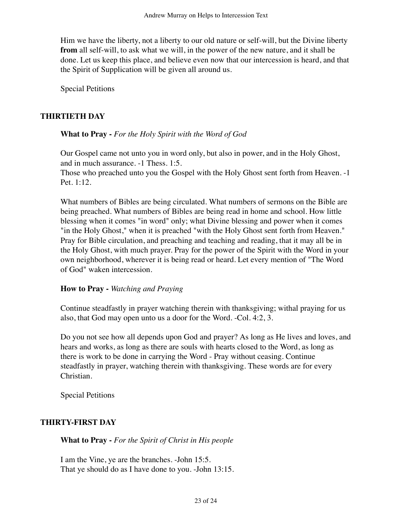Him we have the liberty, not a liberty to our old nature or self-will, but the Divine liberty **from** all self-will, to ask what we will, in the power of the new nature, and it shall be done. Let us keep this place, and believe even now that our intercession is heard, and that the Spirit of Supplication will be given all around us.

Special Petitions

## **THIRTIETH DAY**

#### **What to Pray -** *For the Holy Spirit with the Word of God*

Our Gospel came not unto you in word only, but also in power, and in the Holy Ghost, and in much assurance. -1 Thess. 1:5.

Those who preached unto you the Gospel with the Holy Ghost sent forth from Heaven. -1 Pet. 1:12.

What numbers of Bibles are being circulated. What numbers of sermons on the Bible are being preached. What numbers of Bibles are being read in home and school. How little blessing when it comes "in word" only; what Divine blessing and power when it comes "in the Holy Ghost," when it is preached "with the Holy Ghost sent forth from Heaven." Pray for Bible circulation, and preaching and teaching and reading, that it may all be in the Holy Ghost, with much prayer. Pray for the power of the Spirit with the Word in your own neighborhood, wherever it is being read or heard. Let every mention of "The Word of God" waken intercession.

#### **How to Pray -** *Watching and Praying*

Continue steadfastly in prayer watching therein with thanksgiving; withal praying for us also, that God may open unto us a door for the Word. -Col. 4:2, 3.

Do you not see how all depends upon God and prayer? As long as He lives and loves, and hears and works, as long as there are souls with hearts closed to the Word, as long as there is work to be done in carrying the Word - Pray without ceasing. Continue steadfastly in prayer, watching therein with thanksgiving. These words are for every Christian.

Special Petitions

## **THIRTY-FIRST DAY**

**What to Pray -** *For the Spirit of Christ in His people*

I am the Vine, ye are the branches. -John 15:5. That ye should do as I have done to you. -John 13:15.